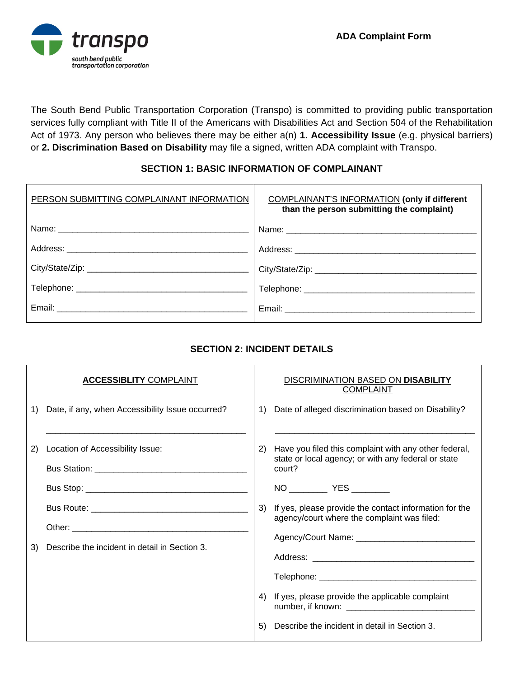

The South Bend Public Transportation Corporation (Transpo) is committed to providing public transportation services fully compliant with Title II of the Americans with Disabilities Act and Section 504 of the Rehabilitation Act of 1973. Any person who believes there may be either a(n) **1. Accessibility Issue** (e.g. physical barriers) or **2. Discrimination Based on Disability** may file a signed, written ADA complaint with Transpo.

## **SECTION 1: BASIC INFORMATION OF COMPLAINANT**

| PERSON SUBMITTING COMPLAINANT INFORMATION | COMPLAINANT'S INFORMATION (only if different<br>than the person submitting the complaint)                                                                                                                                      |
|-------------------------------------------|--------------------------------------------------------------------------------------------------------------------------------------------------------------------------------------------------------------------------------|
|                                           |                                                                                                                                                                                                                                |
|                                           |                                                                                                                                                                                                                                |
|                                           |                                                                                                                                                                                                                                |
|                                           |                                                                                                                                                                                                                                |
|                                           | Email: Email: Email: Email: Email: Email: Email: Email: Email: Email: Email: Email: Email: Email: Email: Email: Email: Email: Email: Email: Email: Email: Email: Email: Email: Email: Email: Email: Email: Email: Email: Email |

## **SECTION 2: INCIDENT DETAILS**

|    | <b>ACCESSIBLITY COMPLAINT</b>                    |               | DISCRIMINATION BASED ON DISABILITY<br><b>COMPLAINT</b>                                                                 |
|----|--------------------------------------------------|---------------|------------------------------------------------------------------------------------------------------------------------|
| 1) | Date, if any, when Accessibility Issue occurred? | 1)            | Date of alleged discrimination based on Disability?                                                                    |
| 2) | Location of Accessibility Issue:                 | <sup>2)</sup> | Have you filed this complaint with any other federal,<br>state or local agency; or with any federal or state<br>court? |
| 3) | Describe the incident in detail in Section 3.    | 3)            | If yes, please provide the contact information for the<br>agency/court where the complaint was filed:                  |
|    |                                                  | 4)<br>5)      | If yes, please provide the applicable complaint<br>Describe the incident in detail in Section 3.                       |